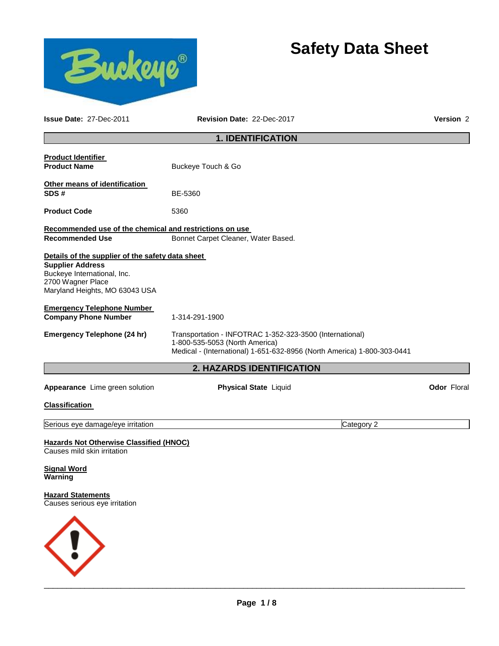



**Issue Date:** 27-Dec-2011 **Revision Date:** 22-Dec-2017 **Version** 2

# **1. IDENTIFICATION**

| <b>Product Identifier</b>                                              |                                                                                                                                                                       |            |                    |  |
|------------------------------------------------------------------------|-----------------------------------------------------------------------------------------------------------------------------------------------------------------------|------------|--------------------|--|
| <b>Product Name</b>                                                    | Buckeye Touch & Go                                                                                                                                                    |            |                    |  |
| Other means of identification<br>SDS#                                  | BE-5360                                                                                                                                                               |            |                    |  |
| <b>Product Code</b>                                                    | 5360                                                                                                                                                                  |            |                    |  |
| Recommended use of the chemical and restrictions on use                |                                                                                                                                                                       |            |                    |  |
| <b>Recommended Use</b>                                                 | Bonnet Carpet Cleaner, Water Based.                                                                                                                                   |            |                    |  |
| Details of the supplier of the safety data sheet                       |                                                                                                                                                                       |            |                    |  |
| <b>Supplier Address</b>                                                |                                                                                                                                                                       |            |                    |  |
| Buckeye International, Inc.<br>2700 Wagner Place                       |                                                                                                                                                                       |            |                    |  |
| Maryland Heights, MO 63043 USA                                         |                                                                                                                                                                       |            |                    |  |
| <b>Emergency Telephone Number</b>                                      |                                                                                                                                                                       |            |                    |  |
| <b>Company Phone Number</b>                                            | 1-314-291-1900                                                                                                                                                        |            |                    |  |
| <b>Emergency Telephone (24 hr)</b>                                     | Transportation - INFOTRAC 1-352-323-3500 (International)<br>1-800-535-5053 (North America)<br>Medical - (International) 1-651-632-8956 (North America) 1-800-303-0441 |            |                    |  |
|                                                                        | 2. HAZARDS IDENTIFICATION                                                                                                                                             |            |                    |  |
| Appearance Lime green solution                                         | <b>Physical State Liquid</b>                                                                                                                                          |            | <b>Odor Floral</b> |  |
| <b>Classification</b>                                                  |                                                                                                                                                                       |            |                    |  |
| Serious eye damage/eye irritation                                      |                                                                                                                                                                       | Category 2 |                    |  |
| Hazards Not Otherwise Classified (HNOC)<br>Causes mild skin irritation |                                                                                                                                                                       |            |                    |  |
| Sianal Ward                                                            |                                                                                                                                                                       |            |                    |  |

**Signal Word Warning** 

**Hazard Statements** Causes serious eye irritation

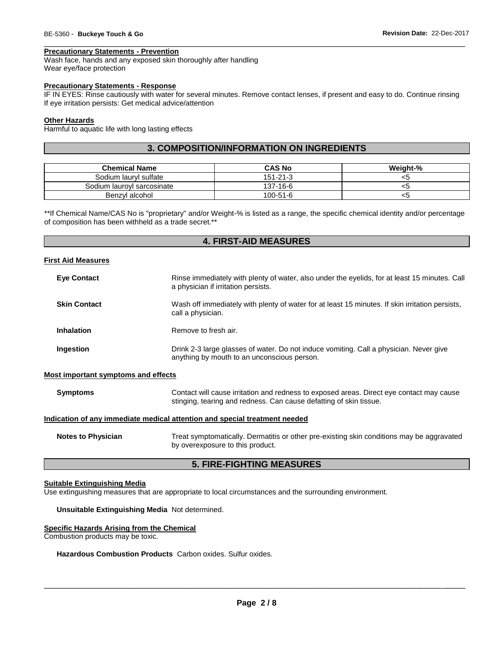## **Precautionary Statements - Prevention**

Wash face, hands and any exposed skin thoroughly after handling Wear eye/face protection

## **Precautionary Statements - Response**

IF IN EYES: Rinse cautiously with water for several minutes. Remove contact lenses, if present and easy to do. Continue rinsing If eye irritation persists: Get medical advice/attention

\_\_\_\_\_\_\_\_\_\_\_\_\_\_\_\_\_\_\_\_\_\_\_\_\_\_\_\_\_\_\_\_\_\_\_\_\_\_\_\_\_\_\_\_\_\_\_\_\_\_\_\_\_\_\_\_\_\_\_\_\_\_\_\_\_\_\_\_\_\_\_\_\_\_\_\_\_\_\_\_\_\_\_\_\_\_\_\_\_\_\_\_\_

## **Other Hazards**

Harmful to aquatic life with long lasting effects

# **3. COMPOSITION/INFORMATION ON INGREDIENTS**

| <b>Chemical Name</b>       | <b>CAS No</b>  | Weiaht-% |
|----------------------------|----------------|----------|
| Sodium lauryl sulfate      | $151 - 21 - 3$ | <ລ       |
| Sodium lauroyl sarcosinate | 137-16-6       | <ວ       |
| Benzyl alcohol             | $100 - 51 - 6$ | ⊂>       |

\*\*If Chemical Name/CAS No is "proprietary" and/or Weight-% is listed as a range, the specific chemical identity and/or percentage of composition has been withheld as a trade secret.\*\*

# **4. FIRST-AID MEASURES**

## **First Aid Measures**

| <b>Eye Contact</b>                  | Rinse immediately with plenty of water, also under the eyelids, for at least 15 minutes. Call<br>a physician if irritation persists.                           |
|-------------------------------------|----------------------------------------------------------------------------------------------------------------------------------------------------------------|
| <b>Skin Contact</b>                 | Wash off immediately with plenty of water for at least 15 minutes. If skin irritation persists,<br>call a physician.                                           |
| <b>Inhalation</b>                   | Remove to fresh air.                                                                                                                                           |
| <b>Ingestion</b>                    | Drink 2-3 large glasses of water. Do not induce vomiting. Call a physician. Never give<br>anything by mouth to an unconscious person.                          |
| Most important symptoms and effects |                                                                                                                                                                |
| <b>Symptoms</b>                     | Contact will cause irritation and redness to exposed areas. Direct eye contact may cause<br>stinging, tearing and redness. Can cause defatting of skin tissue. |

## **Indication of any immediate medical attention and special treatment needed**

**Notes to Physician** Treat symptomatically. Dermatitis or other pre-existing skin conditions may be aggravated by overexposure to this product.

# **5. FIRE-FIGHTING MEASURES**

## **Suitable Extinguishing Media**

Use extinguishing measures that are appropriate to local circumstances and the surrounding environment.

## **Unsuitable Extinguishing Media** Not determined.

## **Specific Hazards Arising from the Chemical**

Combustion products may be toxic.

## **Hazardous Combustion Products** Carbon oxides. Sulfur oxides.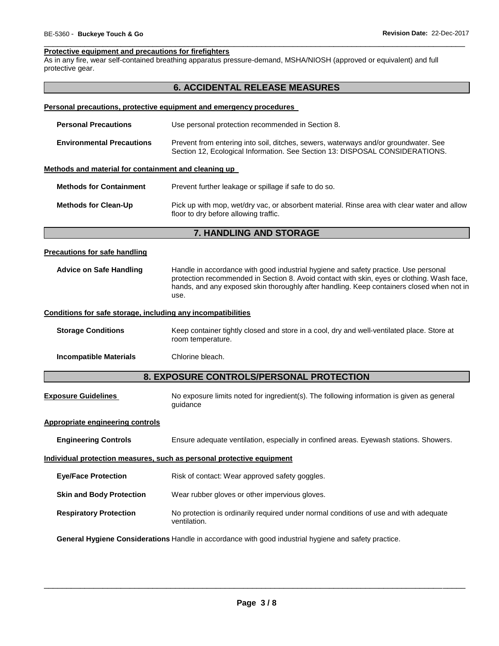## \_\_\_\_\_\_\_\_\_\_\_\_\_\_\_\_\_\_\_\_\_\_\_\_\_\_\_\_\_\_\_\_\_\_\_\_\_\_\_\_\_\_\_\_\_\_\_\_\_\_\_\_\_\_\_\_\_\_\_\_\_\_\_\_\_\_\_\_\_\_\_\_\_\_\_\_\_\_\_\_\_\_\_\_\_\_\_\_\_\_\_\_\_ **Protective equipment and precautions for firefighters**

As in any fire, wear self-contained breathing apparatus pressure-demand, MSHA/NIOSH (approved or equivalent) and full protective gear.

# **6. ACCIDENTAL RELEASE MEASURES**

## **Personal precautions, protective equipment and emergency procedures**

| Use personal protection recommended in Section 8.<br><b>Personal Precautions</b> |                                                                                                                                                                     |  |  |
|----------------------------------------------------------------------------------|---------------------------------------------------------------------------------------------------------------------------------------------------------------------|--|--|
| <b>Environmental Precautions</b>                                                 | Prevent from entering into soil, ditches, sewers, waterways and/or groundwater. See<br>Section 12, Ecological Information. See Section 13: DISPOSAL CONSIDERATIONS. |  |  |
| Methods and material for containment and cleaning up                             |                                                                                                                                                                     |  |  |

| <b>Methods for Containment</b> | Prevent further leakage or spillage if safe to do so.                                                                                |
|--------------------------------|--------------------------------------------------------------------------------------------------------------------------------------|
| <b>Methods for Clean-Up</b>    | Pick up with mop, wet/dry vac, or absorbent material. Rinse area with clear water and allow<br>floor to dry before allowing traffic. |

# **7. HANDLING AND STORAGE**

## **Precautions for safe handling**

**Advice on Safe Handling** Handle in accordance with good industrial hygiene and safety practice. Use personal protection recommended in Section 8. Avoid contact with skin, eyes or clothing. Wash face, hands, and any exposed skin thoroughly after handling. Keep containers closed when not in use.

#### **Conditions for safe storage, including any incompatibilities**

**Storage Conditions** Keep container tightly closed and store in a cool, dry and well-ventilated place. Store at room temperature.

**Incompatible Materials Chlorine bleach.** 

# **8. EXPOSURE CONTROLS/PERSONAL PROTECTION**

| <b>Exposure Guidelines</b> | No exposure limits noted for ingredient(s). The following information is given as general |
|----------------------------|-------------------------------------------------------------------------------------------|
|                            | auidance                                                                                  |

## **Appropriate engineering controls**

| <b>Engineering Controls</b><br>Ensure adequate ventilation, especially in confined areas. Eyewash stations. Showers. |
|----------------------------------------------------------------------------------------------------------------------|
|----------------------------------------------------------------------------------------------------------------------|

#### **Individual protection measures, such as personal protective equipment**

| Risk of contact: Wear approved safety goggles.<br><b>Eye/Face Protection</b> |
|------------------------------------------------------------------------------|
|------------------------------------------------------------------------------|

## **Skin and Body Protection** Wear rubber gloves or other impervious gloves.

**Respiratory Protection** No protection is ordinarily required under normal conditions of use and with adequate ventilation.

**General Hygiene Considerations** Handle in accordance with good industrial hygiene and safety practice.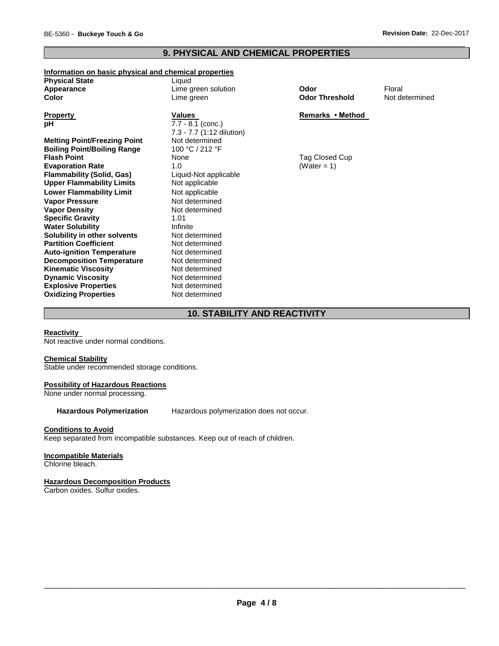**Solubility in other solvents** 

**Vapor Density** 

# \_\_\_\_\_\_\_\_\_\_\_\_\_\_\_\_\_\_\_\_\_\_\_\_\_\_\_\_\_\_\_\_\_\_\_\_\_\_\_\_\_\_\_\_\_\_\_\_\_\_\_\_\_\_\_\_\_\_\_\_\_\_\_\_\_\_\_\_\_\_\_\_\_\_\_\_\_\_\_\_\_\_\_\_\_\_\_\_\_\_\_\_\_ **9. PHYSICAL AND CHEMICAL PROPERTIES**

# **Information on basic physical and chemical properties**

**Upper Flammability Limits** Not applicable **Lower Flammability Limit** Not applicable **Vapor Pressure 1986** Not determined<br> **Vapor Density** 1986 Not determined

**Water Solubility <b>Infinite Infinite**<br> **Solubility in other solvents** Not determined

**Partition Coefficient Not determined Auto-ignition Temperature** Not determined **Decomposition Temperature** Not determined **Kinematic Viscosity Not determined Dynamic Viscosity Not determined Explosive Properties** Not determined **Oxidizing Properties Not determined** 

**Specific Gravity** 1.01

| <b>Physical State</b>               | Liauid                    |                       |        |
|-------------------------------------|---------------------------|-----------------------|--------|
| Appearance                          | Lime green solution       | Odor                  | Floral |
| Color                               | Lime green                | <b>Odor Threshold</b> | Not de |
| <b>Property</b>                     | <b>Values</b>             | Remarks • Method      |        |
| рH                                  | $7.7 - 8.1$ (conc.)       |                       |        |
|                                     | 7.3 - 7.7 (1:12 dilution) |                       |        |
| <b>Melting Point/Freezing Point</b> | Not determined            |                       |        |
| <b>Boiling Point/Boiling Range</b>  | 100 °C / 212 °F           |                       |        |
| <b>Flash Point</b>                  | None                      | Tag Closed Cup        |        |
| <b>Evaporation Rate</b>             | 1.0                       | (Water = $1$ )        |        |
| <b>Flammability (Solid, Gas)</b>    | Liquid-Not applicable     |                       |        |

**Odor Threshold** Not determined

# **Remarks • Method**

# **10. STABILITY AND REACTIVITY**

## **Reactivity**

Not reactive under normal conditions.

## **Chemical Stability**

Stable under recommended storage conditions.

## **Possibility of Hazardous Reactions**

None under normal processing.

**Hazardous Polymerization** Hazardous polymerization does not occur.

## **Conditions to Avoid**

Keep separated from incompatible substances. Keep out of reach of children.

# **Incompatible Materials**

Chlorine bleach.

# **Hazardous Decomposition Products**

Carbon oxides. Sulfur oxides.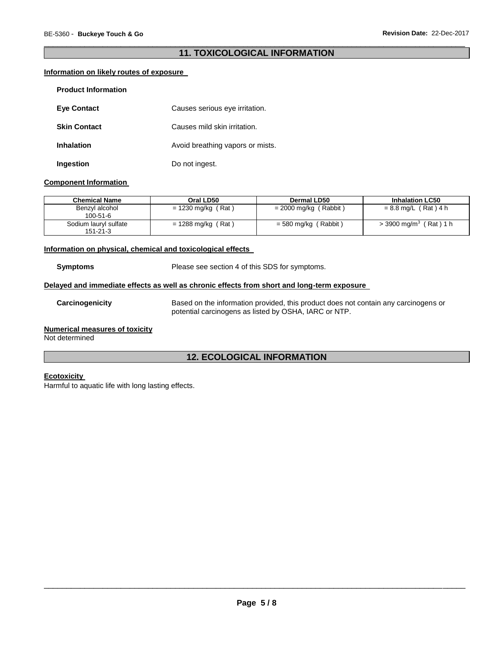# \_\_\_\_\_\_\_\_\_\_\_\_\_\_\_\_\_\_\_\_\_\_\_\_\_\_\_\_\_\_\_\_\_\_\_\_\_\_\_\_\_\_\_\_\_\_\_\_\_\_\_\_\_\_\_\_\_\_\_\_\_\_\_\_\_\_\_\_\_\_\_\_\_\_\_\_\_\_\_\_\_\_\_\_\_\_\_\_\_\_\_\_\_ **11. TOXICOLOGICAL INFORMATION**

# **Information on likely routes of exposure**

| <b>Product Information</b> |                                  |
|----------------------------|----------------------------------|
| <b>Eye Contact</b>         | Causes serious eye irritation.   |
| <b>Skin Contact</b>        | Causes mild skin irritation.     |
| <b>Inhalation</b>          | Avoid breathing vapors or mists. |
| Ingestion                  | Do not ingest.                   |

## **Component Information**

| <b>Chemical Name</b>                    | Oral LD50            | Dermal LD50             | <b>Inhalation LC50</b>               |
|-----------------------------------------|----------------------|-------------------------|--------------------------------------|
| Benzyl alcohol<br>$100 - 51 - 6$        | $= 1230$ mg/kg (Rat) | $= 2000$ mg/kg (Rabbit) | $= 8.8$ mg/L (Rat) 4 h               |
| Sodium lauryl sulfate<br>$151 - 21 - 3$ | $= 1288$ mg/kg (Rat) | $=$ 580 mg/kg (Rabbit)  | $>$ 3900 mg/m <sup>3</sup> (Rat) 1 h |

## **Information on physical, chemical and toxicological effects**

**Symptoms** Please see section 4 of this SDS for symptoms.

## **Delayed and immediate effects as well as chronic effects from short and long-term exposure**

**Carcinogenicity** Based on the information provided, this product does not contain any carcinogens or potential carcinogens as listed by OSHA, IARC or NTP.

## **Numerical measures of toxicity**

Not determined

# **12. ECOLOGICAL INFORMATION**

# **Ecotoxicity**

Harmful to aquatic life with long lasting effects.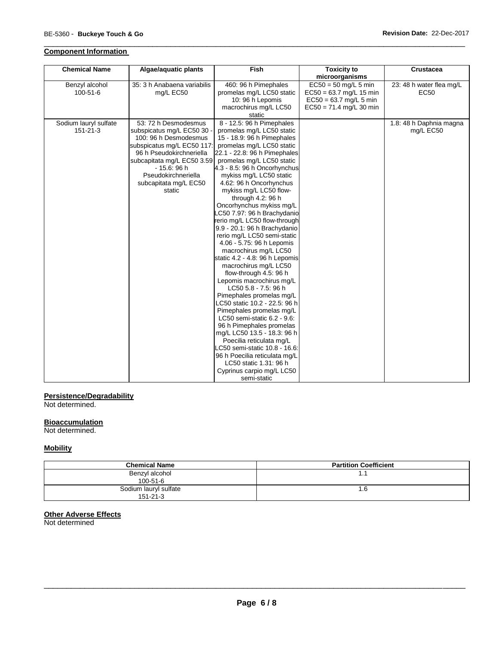# **Component Information**

| <b>Chemical Name</b>  | Algae/aquatic plants        | <b>Fish</b>                    | <b>Toxicity to</b>        | <b>Crustacea</b>         |
|-----------------------|-----------------------------|--------------------------------|---------------------------|--------------------------|
|                       |                             |                                | microorganisms            |                          |
| Benzyl alcohol        | 35: 3 h Anabaena variabilis | 460: 96 h Pimephales           | $EC50 = 50$ mg/L 5 min    | 23: 48 h water flea mg/L |
| 100-51-6              | mg/L EC50                   | promelas mg/L LC50 static      | $EC50 = 63.7$ mg/L 15 min | EC50                     |
|                       |                             | 10: 96 h Lepomis               | $EC50 = 63.7$ mg/L 5 min  |                          |
|                       |                             | macrochirus mg/L LC50          | $EC50 = 71.4$ mg/L 30 min |                          |
|                       |                             | static                         |                           |                          |
| Sodium lauryl sulfate | 53: 72 h Desmodesmus        | 8 - 12.5: 96 h Pimephales      |                           | 1.8: 48 h Daphnia magna  |
| 151-21-3              | subspicatus mg/L EC50 30    | promelas mg/L LC50 static      |                           | mg/L EC50                |
|                       | 100: 96 h Desmodesmus       | 15 - 18.9: 96 h Pimephales     |                           |                          |
|                       | subspicatus mg/L EC50 117:  | promelas mg/L LC50 static      |                           |                          |
|                       | 96 h Pseudokirchneriella    | 22.1 - 22.8: 96 h Pimephales   |                           |                          |
|                       | subcapitata mg/L EC50 3.59  | promelas mg/L LC50 static      |                           |                          |
|                       | $-15.6:96h$                 | 4.3 - 8.5: 96 h Oncorhynchus   |                           |                          |
|                       | Pseudokirchneriella         | mykiss mg/L LC50 static        |                           |                          |
|                       | subcapitata mg/L EC50       | 4.62: 96 h Oncorhynchus        |                           |                          |
|                       | static                      | mykiss mg/L LC50 flow-         |                           |                          |
|                       |                             | through 4.2: 96 h              |                           |                          |
|                       |                             | Oncorhynchus mykiss mg/L       |                           |                          |
|                       |                             | LC50 7.97: 96 h Brachydanio    |                           |                          |
|                       |                             | rerio mg/L LC50 flow-through   |                           |                          |
|                       |                             | 9.9 - 20.1: 96 h Brachydanio   |                           |                          |
|                       |                             | rerio mg/L LC50 semi-static    |                           |                          |
|                       |                             | 4.06 - 5.75: 96 h Lepomis      |                           |                          |
|                       |                             | macrochirus mg/L LC50          |                           |                          |
|                       |                             | static 4.2 - 4.8. 96 h Lepomis |                           |                          |
|                       |                             | macrochirus mg/L LC50          |                           |                          |
|                       |                             | flow-through 4.5: 96 h         |                           |                          |
|                       |                             | Lepomis macrochirus mg/L       |                           |                          |
|                       |                             | LC50 5.8 - 7.5: 96 h           |                           |                          |
|                       |                             | Pimephales promelas mg/L       |                           |                          |
|                       |                             | LC50 static 10.2 - 22.5: 96 h  |                           |                          |
|                       |                             | Pimephales promelas mg/L       |                           |                          |
|                       |                             | LC50 semi-static 6.2 - 9.6:    |                           |                          |
|                       |                             | 96 h Pimephales promelas       |                           |                          |
|                       |                             | mg/L LC50 13.5 - 18.3: 96 h    |                           |                          |
|                       |                             | Poecilia reticulata mg/L       |                           |                          |
|                       |                             | LC50 semi-static 10.8 - 16.6:  |                           |                          |
|                       |                             | 96 h Poecilia reticulata mg/L  |                           |                          |
|                       |                             | LC50 static 1.31: 96 h         |                           |                          |
|                       |                             | Cyprinus carpio mg/L LC50      |                           |                          |
|                       |                             | semi-static                    |                           |                          |

\_\_\_\_\_\_\_\_\_\_\_\_\_\_\_\_\_\_\_\_\_\_\_\_\_\_\_\_\_\_\_\_\_\_\_\_\_\_\_\_\_\_\_\_\_\_\_\_\_\_\_\_\_\_\_\_\_\_\_\_\_\_\_\_\_\_\_\_\_\_\_\_\_\_\_\_\_\_\_\_\_\_\_\_\_\_\_\_\_\_\_\_\_

## **Persistence/Degradability**

Not determined.

## **Bioaccumulation**

Not determined.

# **Mobility**

| <b>Chemical Name</b>  | <b>Partition Coefficient</b> |
|-----------------------|------------------------------|
| Benzyl alcohol        | . .                          |
| $100 - 51 - 6$        |                              |
| Sodium lauryl sulfate | l .lo                        |
| $151 - 21 - 3$        |                              |

## **Other Adverse Effects**

Not determined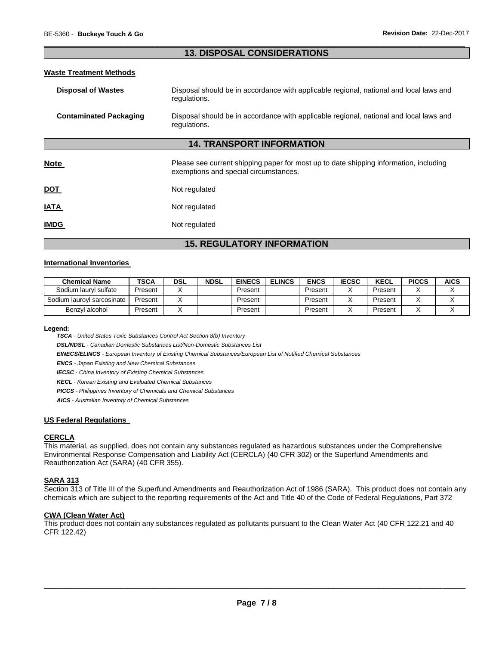# \_\_\_\_\_\_\_\_\_\_\_\_\_\_\_\_\_\_\_\_\_\_\_\_\_\_\_\_\_\_\_\_\_\_\_\_\_\_\_\_\_\_\_\_\_\_\_\_\_\_\_\_\_\_\_\_\_\_\_\_\_\_\_\_\_\_\_\_\_\_\_\_\_\_\_\_\_\_\_\_\_\_\_\_\_\_\_\_\_\_\_\_\_ **13. DISPOSAL CONSIDERATIONS**

## **Waste Treatment Methods**

| Disposal should be in accordance with applicable regional, national and local laws and<br><b>Disposal of Wastes</b><br>regulations. |                                                                                                                                |  |  |  |  |
|-------------------------------------------------------------------------------------------------------------------------------------|--------------------------------------------------------------------------------------------------------------------------------|--|--|--|--|
| <b>Contaminated Packaging</b>                                                                                                       | Disposal should be in accordance with applicable regional, national and local laws and<br>regulations.                         |  |  |  |  |
| <b>14. TRANSPORT INFORMATION</b>                                                                                                    |                                                                                                                                |  |  |  |  |
| <b>Note</b>                                                                                                                         | Please see current shipping paper for most up to date shipping information, including<br>exemptions and special circumstances. |  |  |  |  |
| <b>DOT</b>                                                                                                                          | Not regulated                                                                                                                  |  |  |  |  |
| <b>ATAI</b>                                                                                                                         | Not regulated                                                                                                                  |  |  |  |  |
| <b>IMDG</b>                                                                                                                         | Not regulated                                                                                                                  |  |  |  |  |

# **15. REGULATORY INFORMATION**

## **International Inventories**

| <b>Chemical Name</b>       | TSCA    | DSL | <b>NDSL</b> | <b>EINECS</b> | <b>ELINCS</b> | ENCS    | <b>IECSC</b> | <b>KECL</b> | <b>PICCS</b> | <b>AICS</b> |
|----------------------------|---------|-----|-------------|---------------|---------------|---------|--------------|-------------|--------------|-------------|
| Sodium lauryl sulfate      | Present |     |             | Present       |               | Present |              | Present     |              |             |
| Sodium laurovl sarcosinate | Present |     |             | Present       |               | Present |              | Present     |              |             |
| Benzyl alcohol             | Present |     |             | Present       |               | Present |              | Present     |              |             |

**Legend:** 

*TSCA - United States Toxic Substances Control Act Section 8(b) Inventory* 

*DSL/NDSL - Canadian Domestic Substances List/Non-Domestic Substances List* 

*EINECS/ELINCS - European Inventory of Existing Chemical Substances/European List of Notified Chemical Substances* 

*ENCS - Japan Existing and New Chemical Substances* 

*IECSC - China Inventory of Existing Chemical Substances* 

*KECL - Korean Existing and Evaluated Chemical Substances* 

*PICCS - Philippines Inventory of Chemicals and Chemical Substances* 

*AICS - Australian Inventory of Chemical Substances* 

## **US Federal Regulations**

## **CERCLA**

This material, as supplied, does not contain any substances regulated as hazardous substances under the Comprehensive Environmental Response Compensation and Liability Act (CERCLA) (40 CFR 302) or the Superfund Amendments and Reauthorization Act (SARA) (40 CFR 355).

# **SARA 313**

Section 313 of Title III of the Superfund Amendments and Reauthorization Act of 1986 (SARA). This product does not contain any chemicals which are subject to the reporting requirements of the Act and Title 40 of the Code of Federal Regulations, Part 372

## **CWA (Clean Water Act)**

This product does not contain any substances regulated as pollutants pursuant to the Clean Water Act (40 CFR 122.21 and 40 CFR 122.42)